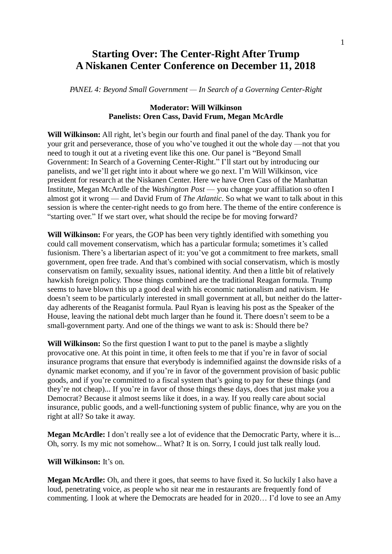# **Starting Over: The Center-Right After Trump A Niskanen Center Conference on December 11, 2018**

*PANEL 4: Beyond Small Government — In Search of a Governing Center-Right*

# **Moderator: Will Wilkinson Panelists: Oren Cass, David Frum, Megan McArdle**

**Will Wilkinson:** All right, let's begin our fourth and final panel of the day. Thank you for your grit and perseverance, those of you who've toughed it out the whole day —not that you need to tough it out at a riveting event like this one. Our panel is "Beyond Small Government: In Search of a Governing Center-Right." I'll start out by introducing our panelists, and we'll get right into it about where we go next. I'm Will Wilkinson, vice president for research at the Niskanen Center. Here we have Oren Cass of the Manhattan Institute, Megan McArdle of the *Washington Post* — you change your affiliation so often I almost got it wrong — and David Frum of *The Atlantic*. So what we want to talk about in this session is where the center-right needs to go from here. The theme of the entire conference is "starting over." If we start over, what should the recipe be for moving forward?

**Will Wilkinson:** For years, the GOP has been very tightly identified with something you could call movement conservatism, which has a particular formula; sometimes it's called fusionism. There's a libertarian aspect of it: you've got a commitment to free markets, small government, open free trade. And that's combined with social conservatism, which is mostly conservatism on family, sexuality issues, national identity. And then a little bit of relatively hawkish foreign policy. Those things combined are the traditional Reagan formula. Trump seems to have blown this up a good deal with his economic nationalism and nativism. He doesn't seem to be particularly interested in small government at all, but neither do the latterday adherents of the Reaganist formula. Paul Ryan is leaving his post as the Speaker of the House, leaving the national debt much larger than he found it. There doesn't seem to be a small-government party. And one of the things we want to ask is: Should there be?

Will Wilkinson: So the first question I want to put to the panel is maybe a slightly provocative one. At this point in time, it often feels to me that if you're in favor of social insurance programs that ensure that everybody is indemnified against the downside risks of a dynamic market economy, and if you're in favor of the government provision of basic public goods, and if you're committed to a fiscal system that's going to pay for these things (and they're not cheap)... If you're in favor of those things these days, does that just make you a Democrat? Because it almost seems like it does, in a way. If you really care about social insurance, public goods, and a well-functioning system of public finance, why are you on the right at all? So take it away.

**Megan McArdle:** I don't really see a lot of evidence that the Democratic Party, where it is... Oh, sorry. Is my mic not somehow... What? It is on. Sorry, I could just talk really loud.

#### **Will Wilkinson:** It's on.

**Megan McArdle:** Oh, and there it goes, that seems to have fixed it. So luckily I also have a loud, penetrating voice, as people who sit near me in restaurants are frequently fond of commenting. I look at where the Democrats are headed for in 2020… I'd love to see an Amy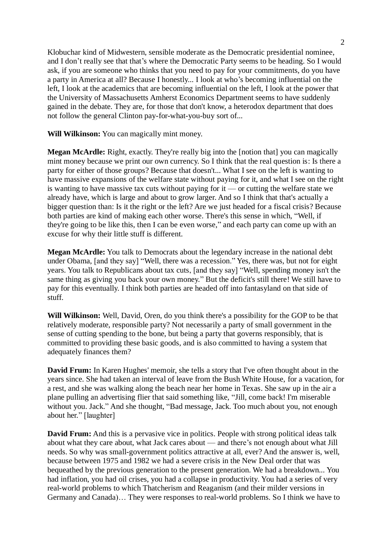Klobuchar kind of Midwestern, sensible moderate as the Democratic presidential nominee, and I don't really see that that's where the Democratic Party seems to be heading. So I would ask, if you are someone who thinks that you need to pay for your commitments, do you have a party in America at all? Because I honestly... I look at who's becoming influential on the left, I look at the academics that are becoming influential on the left, I look at the power that the University of Massachusetts Amherst Economics Department seems to have suddenly gained in the debate. They are, for those that don't know, a heterodox department that does not follow the general Clinton pay-for-what-you-buy sort of...

**Will Wilkinson:** You can magically mint money.

**Megan McArdle:** Right, exactly. They're really big into the [notion that] you can magically mint money because we print our own currency. So I think that the real question is: Is there a party for either of those groups? Because that doesn't... What I see on the left is wanting to have massive expansions of the welfare state without paying for it, and what I see on the right is wanting to have massive tax cuts without paying for it — or cutting the welfare state we already have, which is large and about to grow larger. And so I think that that's actually a bigger question than: Is it the right or the left? Are we just headed for a fiscal crisis? Because both parties are kind of making each other worse. There's this sense in which, "Well, if they're going to be like this, then I can be even worse," and each party can come up with an excuse for why their little stuff is different.

**Megan McArdle:** You talk to Democrats about the legendary increase in the national debt under Obama, [and they say] "Well, there was a recession." Yes, there was, but not for eight years. You talk to Republicans about tax cuts, [and they say] "Well, spending money isn't the same thing as giving you back your own money." But the deficit's still there! We still have to pay for this eventually. I think both parties are headed off into fantasyland on that side of stuff.

**Will Wilkinson:** Well, David, Oren, do you think there's a possibility for the GOP to be that relatively moderate, responsible party? Not necessarily a party of small government in the sense of cutting spending to the bone, but being a party that governs responsibly, that is committed to providing these basic goods, and is also committed to having a system that adequately finances them?

**David Frum:** In Karen Hughes' memoir, she tells a story that I've often thought about in the years since. She had taken an interval of leave from the Bush White House, for a vacation, for a rest, and she was walking along the beach near her home in Texas. She saw up in the air a plane pulling an advertising flier that said something like, "Jill, come back! I'm miserable without you. Jack." And she thought, "Bad message, Jack. Too much about you, not enough about her." [laughter]

**David Frum:** And this is a pervasive vice in politics. People with strong political ideas talk about what they care about, what Jack cares about — and there's not enough about what Jill needs. So why was small-government politics attractive at all, ever? And the answer is, well, because between 1975 and 1982 we had a severe crisis in the New Deal order that was bequeathed by the previous generation to the present generation. We had a breakdown... You had inflation, you had oil crises, you had a collapse in productivity. You had a series of very real-world problems to which Thatcherism and Reaganism (and their milder versions in Germany and Canada)… They were responses to real-world problems. So I think we have to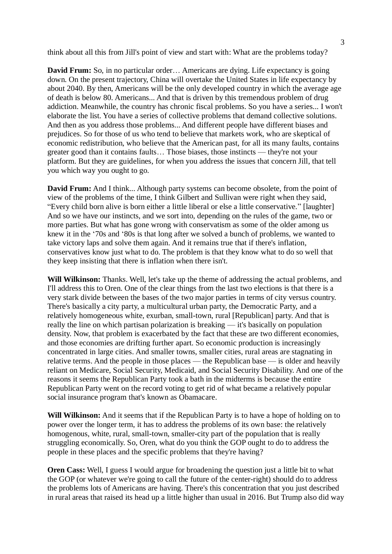think about all this from Jill's point of view and start with: What are the problems today?

**David Frum:** So, in no particular order... Americans are dying. Life expectancy is going down. On the present trajectory, China will overtake the United States in life expectancy by about 2040. By then, Americans will be the only developed country in which the average age of death is below 80. Americans... And that is driven by this tremendous problem of drug addiction. Meanwhile, the country has chronic fiscal problems. So you have a series... I won't elaborate the list. You have a series of collective problems that demand collective solutions. And then as you address those problems... And different people have different biases and prejudices. So for those of us who tend to believe that markets work, who are skeptical of economic redistribution, who believe that the American past, for all its many faults, contains greater good than it contains faults… Those biases, those instincts — they're not your platform. But they are guidelines, for when you address the issues that concern Jill, that tell you which way you ought to go.

**David Frum:** And I think... Although party systems can become obsolete, from the point of view of the problems of the time, I think Gilbert and Sullivan were right when they said, "Every child born alive is born either a little liberal or else a little conservative." [laughter] And so we have our instincts, and we sort into, depending on the rules of the game, two or more parties. But what has gone wrong with conservatism as some of the older among us knew it in the '70s and '80s is that long after we solved a bunch of problems, we wanted to take victory laps and solve them again. And it remains true that if there's inflation, conservatives know just what to do. The problem is that they know what to do so well that they keep insisting that there is inflation when there isn't.

**Will Wilkinson:** Thanks. Well, let's take up the theme of addressing the actual problems, and I'll address this to Oren. One of the clear things from the last two elections is that there is a very stark divide between the bases of the two major parties in terms of city versus country. There's basically a city party, a multicultural urban party, the Democratic Party, and a relatively homogeneous white, exurban, small-town, rural [Republican] party. And that is really the line on which partisan polarization is breaking — it's basically on population density. Now, that problem is exacerbated by the fact that these are two different economies, and those economies are drifting further apart. So economic production is increasingly concentrated in large cities. And smaller towns, smaller cities, rural areas are stagnating in relative terms. And the people in those places — the Republican base — is older and heavily reliant on Medicare, Social Security, Medicaid, and Social Security Disability. And one of the reasons it seems the Republican Party took a bath in the midterms is because the entire Republican Party went on the record voting to get rid of what became a relatively popular social insurance program that's known as Obamacare.

**Will Wilkinson:** And it seems that if the Republican Party is to have a hope of holding on to power over the longer term, it has to address the problems of its own base: the relatively homogenous, white, rural, small-town, smaller-city part of the population that is really struggling economically. So, Oren, what do you think the GOP ought to do to address the people in these places and the specific problems that they're having?

**Oren Cass:** Well, I guess I would argue for broadening the question just a little bit to what the GOP (or whatever we're going to call the future of the center-right) should do to address the problems lots of Americans are having. There's this concentration that you just described in rural areas that raised its head up a little higher than usual in 2016. But Trump also did way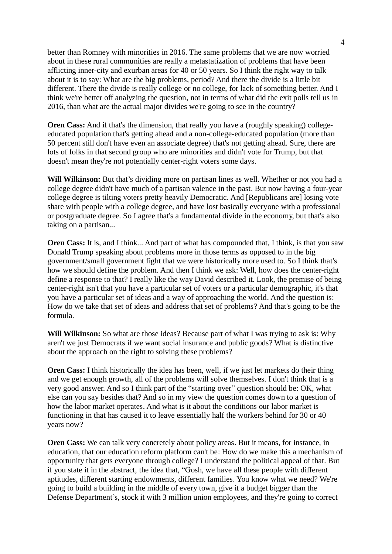better than Romney with minorities in 2016. The same problems that we are now worried about in these rural communities are really a metastatization of problems that have been afflicting inner-city and exurban areas for 40 or 50 years. So I think the right way to talk about it is to say: What are the big problems, period? And there the divide is a little bit different. There the divide is really college or no college, for lack of something better. And I think we're better off analyzing the question, not in terms of what did the exit polls tell us in 2016, than what are the actual major divides we're going to see in the country?

**Oren Cass:** And if that's the dimension, that really you have a (roughly speaking) collegeeducated population that's getting ahead and a non-college-educated population (more than 50 percent still don't have even an associate degree) that's not getting ahead. Sure, there are lots of folks in that second group who are minorities and didn't vote for Trump, but that doesn't mean they're not potentially center-right voters some days.

**Will Wilkinson:** But that's dividing more on partisan lines as well. Whether or not you had a college degree didn't have much of a partisan valence in the past. But now having a four-year college degree is tilting voters pretty heavily Democratic. And [Republicans are] losing vote share with people with a college degree, and have lost basically everyone with a professional or postgraduate degree. So I agree that's a fundamental divide in the economy, but that's also taking on a partisan...

**Oren Cass:** It is, and I think... And part of what has compounded that, I think, is that you saw Donald Trump speaking about problems more in those terms as opposed to in the big government/small government fight that we were historically more used to. So I think that's how we should define the problem. And then I think we ask: Well, how does the center-right define a response to that? I really like the way David described it. Look, the premise of being center-right isn't that you have a particular set of voters or a particular demographic, it's that you have a particular set of ideas and a way of approaching the world. And the question is: How do we take that set of ideas and address that set of problems? And that's going to be the formula.

**Will Wilkinson:** So what are those ideas? Because part of what I was trying to ask is: Why aren't we just Democrats if we want social insurance and public goods? What is distinctive about the approach on the right to solving these problems?

**Oren Cass:** I think historically the idea has been, well, if we just let markets do their thing and we get enough growth, all of the problems will solve themselves. I don't think that is a very good answer. And so I think part of the "starting over" question should be: OK, what else can you say besides that? And so in my view the question comes down to a question of how the labor market operates. And what is it about the conditions our labor market is functioning in that has caused it to leave essentially half the workers behind for 30 or 40 years now?

**Oren Cass:** We can talk very concretely about policy areas. But it means, for instance, in education, that our education reform platform can't be: How do we make this a mechanism of opportunity that gets everyone through college? I understand the political appeal of that. But if you state it in the abstract, the idea that, "Gosh, we have all these people with different aptitudes, different starting endowments, different families. You know what we need? We're going to build a building in the middle of every town, give it a budget bigger than the Defense Department's, stock it with 3 million union employees, and they're going to correct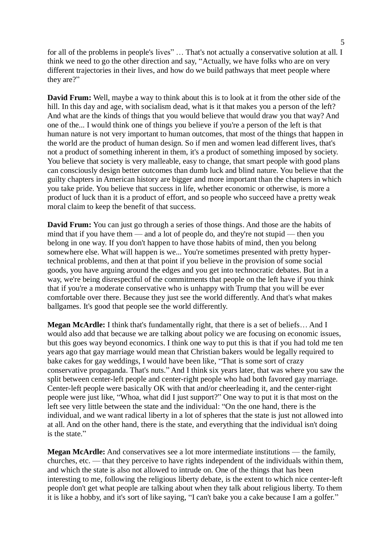for all of the problems in people's lives" ... That's not actually a conservative solution at all. I think we need to go the other direction and say, "Actually, we have folks who are on very different trajectories in their lives, and how do we build pathways that meet people where they are?"

**David Frum:** Well, maybe a way to think about this is to look at it from the other side of the hill. In this day and age, with socialism dead, what is it that makes you a person of the left? And what are the kinds of things that you would believe that would draw you that way? And one of the... I would think one of things you believe if you're a person of the left is that human nature is not very important to human outcomes, that most of the things that happen in the world are the product of human design. So if men and women lead different lives, that's not a product of something inherent in them, it's a product of something imposed by society. You believe that society is very malleable, easy to change, that smart people with good plans can consciously design better outcomes than dumb luck and blind nature. You believe that the guilty chapters in American history are bigger and more important than the chapters in which you take pride. You believe that success in life, whether economic or otherwise, is more a product of luck than it is a product of effort, and so people who succeed have a pretty weak moral claim to keep the benefit of that success.

**David Frum:** You can just go through a series of those things. And those are the habits of mind that if you have them — and a lot of people do, and they're not stupid — then you belong in one way. If you don't happen to have those habits of mind, then you belong somewhere else. What will happen is we... You're sometimes presented with pretty hypertechnical problems, and then at that point if you believe in the provision of some social goods, you have arguing around the edges and you get into technocratic debates. But in a way, we're being disrespectful of the commitments that people on the left have if you think that if you're a moderate conservative who is unhappy with Trump that you will be ever comfortable over there. Because they just see the world differently. And that's what makes ballgames. It's good that people see the world differently.

**Megan McArdle:** I think that's fundamentally right, that there is a set of beliefs… And I would also add that because we are talking about policy we are focusing on economic issues, but this goes way beyond economics. I think one way to put this is that if you had told me ten years ago that gay marriage would mean that Christian bakers would be legally required to bake cakes for gay weddings, I would have been like, "That is some sort of crazy conservative propaganda. That's nuts." And I think six years later, that was where you saw the split between center-left people and center-right people who had both favored gay marriage. Center-left people were basically OK with that and/or cheerleading it, and the center-right people were just like, "Whoa, what did I just support?" One way to put it is that most on the left see very little between the state and the individual: "On the one hand, there is the individual, and we want radical liberty in a lot of spheres that the state is just not allowed into at all. And on the other hand, there is the state, and everything that the individual isn't doing is the state."

**Megan McArdle:** And conservatives see a lot more intermediate institutions — the family, churches, etc. — that they perceive to have rights independent of the individuals within them, and which the state is also not allowed to intrude on. One of the things that has been interesting to me, following the religious liberty debate, is the extent to which nice center-left people don't get what people are talking about when they talk about religious liberty. To them it is like a hobby, and it's sort of like saying, "I can't bake you a cake because I am a golfer."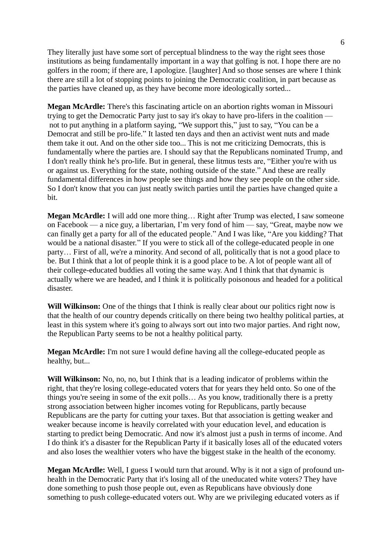They literally just have some sort of perceptual blindness to the way the right sees those institutions as being fundamentally important in a way that golfing is not. I hope there are no golfers in the room; if there are, I apologize. [laughter] And so those senses are where I think there are still a lot of stopping points to joining the Democratic coalition, in part because as the parties have cleaned up, as they have become more ideologically sorted...

**Megan McArdle:** There's this fascinating article on an abortion rights woman in Missouri trying to get the Democratic Party just to say it's okay to have pro-lifers in the coalition not to put anything in a platform saying, "We support this," just to say, "You can be a Democrat and still be pro-life." It lasted ten days and then an activist went nuts and made them take it out. And on the other side too... This is not me criticizing Democrats, this is fundamentally where the parties are. I should say that the Republicans nominated Trump, and I don't really think he's pro-life. But in general, these litmus tests are, "Either you're with us or against us. Everything for the state, nothing outside of the state." And these are really fundamental differences in how people see things and how they see people on the other side. So I don't know that you can just neatly switch parties until the parties have changed quite a bit.

**Megan McArdle:** I will add one more thing… Right after Trump was elected, I saw someone on Facebook — a nice guy, a libertarian, I'm very fond of him — say, "Great, maybe now we can finally get a party for all of the educated people." And I was like, "Are you kidding? That would be a national disaster." If you were to stick all of the college-educated people in one party… First of all, we're a minority. And second of all, politically that is not a good place to be. But I think that a lot of people think it is a good place to be. A lot of people want all of their college-educated buddies all voting the same way. And I think that that dynamic is actually where we are headed, and I think it is politically poisonous and headed for a political disaster.

**Will Wilkinson:** One of the things that I think is really clear about our politics right now is that the health of our country depends critically on there being two healthy political parties, at least in this system where it's going to always sort out into two major parties. And right now, the Republican Party seems to be not a healthy political party.

**Megan McArdle:** I'm not sure I would define having all the college-educated people as healthy, but...

**Will Wilkinson:** No, no, no, but I think that is a leading indicator of problems within the right, that they're losing college-educated voters that for years they held onto. So one of the things you're seeing in some of the exit polls… As you know, traditionally there is a pretty strong association between higher incomes voting for Republicans, partly because Republicans are the party for cutting your taxes. But that association is getting weaker and weaker because income is heavily correlated with your education level, and education is starting to predict being Democratic. And now it's almost just a push in terms of income. And I do think it's a disaster for the Republican Party if it basically loses all of the educated voters and also loses the wealthier voters who have the biggest stake in the health of the economy.

**Megan McArdle:** Well, I guess I would turn that around. Why is it not a sign of profound unhealth in the Democratic Party that it's losing all of the uneducated white voters? They have done something to push those people out, even as Republicans have obviously done something to push college-educated voters out. Why are we privileging educated voters as if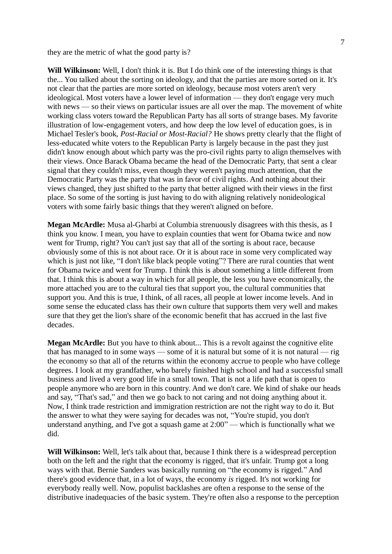they are the metric of what the good party is?

**Will Wilkinson:** Well, I don't think it is. But I do think one of the interesting things is that the... You talked about the sorting on ideology, and that the parties are more sorted on it. It's not clear that the parties are more sorted on ideology, because most voters aren't very ideological. Most voters have a lower level of information — they don't engage very much with news — so their views on particular issues are all over the map. The movement of white working class voters toward the Republican Party has all sorts of strange bases. My favorite illustration of low-engagement voters, and how deep the low level of education goes, is in Michael Tesler's book, *Post-Racial or Most-Racial?* He shows pretty clearly that the flight of less-educated white voters to the Republican Party is largely because in the past they just didn't know enough about which party was the pro-civil rights party to align themselves with their views. Once Barack Obama became the head of the Democratic Party, that sent a clear signal that they couldn't miss, even though they weren't paying much attention, that the Democratic Party was the party that was in favor of civil rights. And nothing about their views changed, they just shifted to the party that better aligned with their views in the first place. So some of the sorting is just having to do with aligning relatively nonideological voters with some fairly basic things that they weren't aligned on before.

**Megan McArdle:** Musa al-Gharbi at Columbia strenuously disagrees with this thesis, as I think you know. I mean, you have to explain counties that went for Obama twice and now went for Trump, right? You can't just say that all of the sorting is about race, because obviously some of this is not about race. Or it is about race in some very complicated way which is just not like, "I don't like black people voting"? There are rural counties that went for Obama twice and went for Trump. I think this is about something a little different from that. I think this is about a way in which for all people, the less you have economically, the more attached you are to the cultural ties that support you, the cultural communities that support you. And this is true, I think, of all races, all people at lower income levels. And in some sense the educated class has their own culture that supports them very well and makes sure that they get the lion's share of the economic benefit that has accrued in the last five decades.

**Megan McArdle:** But you have to think about... This is a revolt against the cognitive elite that has managed to in some ways — some of it is natural but some of it is not natural — rig the economy so that all of the returns within the economy accrue to people who have college degrees. I look at my grandfather, who barely finished high school and had a successful small business and lived a very good life in a small town. That is not a life path that is open to people anymore who are born in this country. And we don't care. We kind of shake our heads and say, "That's sad," and then we go back to not caring and not doing anything about it. Now, I think trade restriction and immigration restriction are not the right way to do it. But the answer to what they were saying for decades was not, "You're stupid, you don't understand anything, and I've got a squash game at 2:00" — which is functionally what we did.

**Will Wilkinson:** Well, let's talk about that, because I think there is a widespread perception both on the left and the right that the economy is rigged, that it's unfair. Trump got a long ways with that. Bernie Sanders was basically running on "the economy is rigged." And there's good evidence that, in a lot of ways, the economy *is* rigged. It's not working for everybody really well. Now, populist backlashes are often a response to the sense of the distributive inadequacies of the basic system. They're often also a response to the perception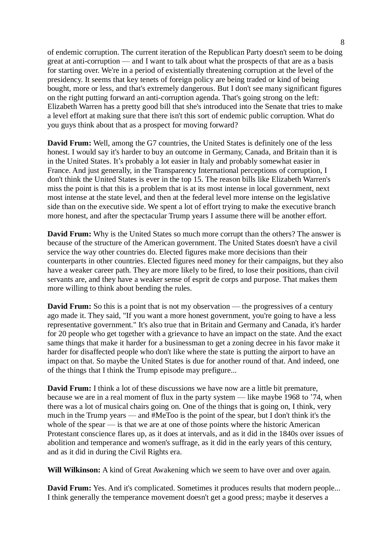of endemic corruption. The current iteration of the Republican Party doesn't seem to be doing great at anti-corruption — and I want to talk about what the prospects of that are as a basis for starting over. We're in a period of existentially threatening corruption at the level of the presidency. It seems that key tenets of foreign policy are being traded or kind of being bought, more or less, and that's extremely dangerous. But I don't see many significant figures on the right putting forward an anti-corruption agenda. That's going strong on the left: Elizabeth Warren has a pretty good bill that she's introduced into the Senate that tries to make a level effort at making sure that there isn't this sort of endemic public corruption. What do you guys think about that as a prospect for moving forward?

**David Frum:** Well, among the G7 countries, the United States is definitely one of the less honest. I would say it's harder to buy an outcome in Germany, Canada, and Britain than it is in the United States. It's probably a lot easier in Italy and probably somewhat easier in France. And just generally, in the Transparency International perceptions of corruption, I don't think the United States is ever in the top 15. The reason bills like Elizabeth Warren's miss the point is that this is a problem that is at its most intense in local government, next most intense at the state level, and then at the federal level more intense on the legislative side than on the executive side. We spent a lot of effort trying to make the executive branch more honest, and after the spectacular Trump years I assume there will be another effort.

**David Frum:** Why is the United States so much more corrupt than the others? The answer is because of the structure of the American government. The United States doesn't have a civil service the way other countries do. Elected figures make more decisions than their counterparts in other countries. Elected figures need money for their campaigns, but they also have a weaker career path. They are more likely to be fired, to lose their positions, than civil servants are, and they have a weaker sense of esprit de corps and purpose. That makes them more willing to think about bending the rules.

**David Frum:** So this is a point that is not my observation — the progressives of a century ago made it. They said, "If you want a more honest government, you're going to have a less representative government." It's also true that in Britain and Germany and Canada, it's harder for 20 people who get together with a grievance to have an impact on the state. And the exact same things that make it harder for a businessman to get a zoning decree in his favor make it harder for disaffected people who don't like where the state is putting the airport to have an impact on that. So maybe the United States is due for another round of that. And indeed, one of the things that I think the Trump episode may prefigure...

**David Frum:** I think a lot of these discussions we have now are a little bit premature, because we are in a real moment of flux in the party system — like maybe 1968 to '74, when there was a lot of musical chairs going on. One of the things that is going on, I think, very much in the Trump years — and #MeToo is the point of the spear, but I don't think it's the whole of the spear — is that we are at one of those points where the historic American Protestant conscience flares up, as it does at intervals, and as it did in the 1840s over issues of abolition and temperance and women's suffrage, as it did in the early years of this century, and as it did in during the Civil Rights era.

**Will Wilkinson:** A kind of Great Awakening which we seem to have over and over again.

**David Frum:** Yes. And it's complicated. Sometimes it produces results that modern people... I think generally the temperance movement doesn't get a good press; maybe it deserves a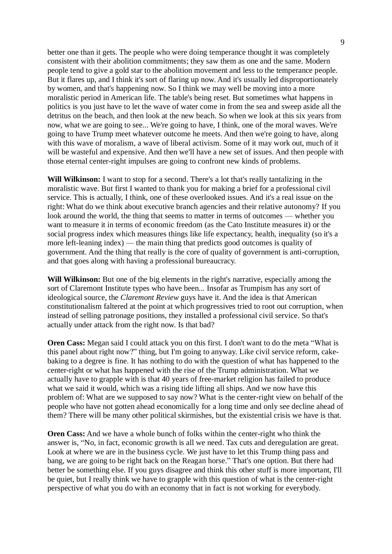better one than it gets. The people who were doing temperance thought it was completely consistent with their abolition commitments; they saw them as one and the same. Modern people tend to give a gold star to the abolition movement and less to the temperance people. But it flares up, and I think it's sort of flaring up now. And it's usually led disproportionately by women, and that's happening now. So I think we may well be moving into a more moralistic period in American life. The table's being reset. But sometimes what happens in politics is you just have to let the wave of water come in from the sea and sweep aside all the detritus on the beach, and then look at the new beach. So when we look at this six years from now, what we are going to see... We're going to have, I think, one of the moral waves. We're going to have Trump meet whatever outcome he meets. And then we're going to have, along with this wave of moralism, a wave of liberal activism. Some of it may work out, much of it will be wasteful and expensive. And then we'll have a new set of issues. And then people with those eternal center-right impulses are going to confront new kinds of problems.

**Will Wilkinson:** I want to stop for a second. There's a lot that's really tantalizing in the moralistic wave. But first I wanted to thank you for making a brief for a professional civil service. This is actually, I think, one of these overlooked issues. And it's a real issue on the right: What do we think about executive branch agencies and their relative autonomy? If you look around the world, the thing that seems to matter in terms of outcomes — whether you want to measure it in terms of economic freedom (as the Cato Institute measures it) or the social progress index which measures things like life expectancy, health, inequality (so it's a more left-leaning index) — the main thing that predicts good outcomes is quality of government. And the thing that really is the core of quality of government is anti-corruption, and that goes along with having a professional bureaucracy.

**Will Wilkinson:** But one of the big elements in the right's narrative, especially among the sort of Claremont Institute types who have been... Insofar as Trumpism has any sort of ideological source, the *Claremont Review* guys have it. And the idea is that American constitutionalism faltered at the point at which progressives tried to root out corruption, when instead of selling patronage positions, they installed a professional civil service. So that's actually under attack from the right now. Is that bad?

**Oren Cass:** Megan said I could attack you on this first. I don't want to do the meta "What is this panel about right now?" thing, but I'm going to anyway. Like civil service reform, cakebaking to a degree is fine. It has nothing to do with the question of what has happened to the center-right or what has happened with the rise of the Trump administration. What we actually have to grapple with is that 40 years of free-market religion has failed to produce what we said it would, which was a rising tide lifting all ships. And we now have this problem of: What are we supposed to say now? What is the center-right view on behalf of the people who have not gotten ahead economically for a long time and only see decline ahead of them? There will be many other political skirmishes, but the existential crisis we have is that.

**Oren Cass:** And we have a whole bunch of folks within the center-right who think the answer is, "No, in fact, economic growth is all we need. Tax cuts and deregulation are great. Look at where we are in the business cycle. We just have to let this Trump thing pass and bang, we are going to be right back on the Reagan horse." That's one option. But there had better be something else. If you guys disagree and think this other stuff is more important, I'll be quiet, but I really think we have to grapple with this question of what is the center-right perspective of what you do with an economy that in fact is not working for everybody.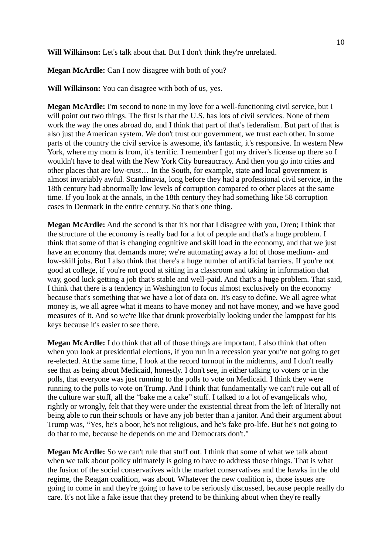**Will Wilkinson:** Let's talk about that. But I don't think they're unrelated.

**Megan McArdle:** Can I now disagree with both of you?

**Will Wilkinson:** You can disagree with both of us, yes.

**Megan McArdle:** I'm second to none in my love for a well-functioning civil service, but I will point out two things. The first is that the U.S. has lots of civil services. None of them work the way the ones abroad do, and I think that part of that's federalism. But part of that is also just the American system. We don't trust our government, we trust each other. In some parts of the country the civil service is awesome, it's fantastic, it's responsive. In western New York, where my mom is from, it's terrific. I remember I got my driver's license up there so I wouldn't have to deal with the New York City bureaucracy. And then you go into cities and other places that are low-trust… In the South, for example, state and local government is almost invariably awful. Scandinavia, long before they had a professional civil service, in the 18th century had abnormally low levels of corruption compared to other places at the same time. If you look at the annals, in the 18th century they had something like 58 corruption cases in Denmark in the entire century. So that's one thing.

**Megan McArdle:** And the second is that it's not that I disagree with you, Oren; I think that the structure of the economy is really bad for a lot of people and that's a huge problem. I think that some of that is changing cognitive and skill load in the economy, and that we just have an economy that demands more; we're automating away a lot of those medium- and low-skill jobs. But I also think that there's a huge number of artificial barriers. If you're not good at college, if you're not good at sitting in a classroom and taking in information that way, good luck getting a job that's stable and well-paid. And that's a huge problem. That said, I think that there is a tendency in Washington to focus almost exclusively on the economy because that's something that we have a lot of data on. It's easy to define. We all agree what money is, we all agree what it means to have money and not have money, and we have good measures of it. And so we're like that drunk proverbially looking under the lamppost for his keys because it's easier to see there.

**Megan McArdle:** I do think that all of those things are important. I also think that often when you look at presidential elections, if you run in a recession year you're not going to get re-elected. At the same time, I look at the record turnout in the midterms, and I don't really see that as being about Medicaid, honestly. I don't see, in either talking to voters or in the polls, that everyone was just running to the polls to vote on Medicaid. I think they were running to the polls to vote on Trump. And I think that fundamentally we can't rule out all of the culture war stuff, all the "bake me a cake" stuff. I talked to a lot of evangelicals who, rightly or wrongly, felt that they were under the existential threat from the left of literally not being able to run their schools or have any job better than a janitor. And their argument about Trump was, "Yes, he's a boor, he's not religious, and he's fake pro-life. But he's not going to do that to me, because he depends on me and Democrats don't."

**Megan McArdle:** So we can't rule that stuff out. I think that some of what we talk about when we talk about policy ultimately is going to have to address those things. That is what the fusion of the social conservatives with the market conservatives and the hawks in the old regime, the Reagan coalition, was about. Whatever the new coalition is, those issues are going to come in and they're going to have to be seriously discussed, because people really do care. It's not like a fake issue that they pretend to be thinking about when they're really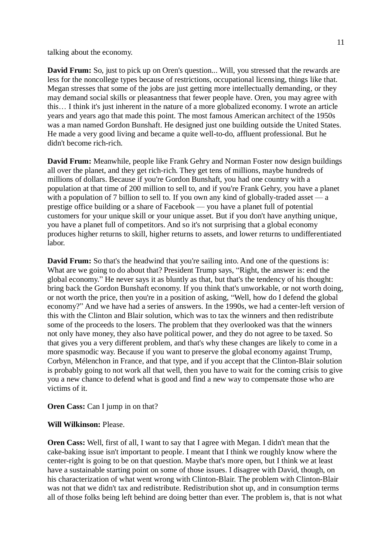talking about the economy.

**David Frum:** So, just to pick up on Oren's question... Will, you stressed that the rewards are less for the noncollege types because of restrictions, occupational licensing, things like that. Megan stresses that some of the jobs are just getting more intellectually demanding, or they may demand social skills or pleasantness that fewer people have. Oren, you may agree with this… I think it's just inherent in the nature of a more globalized economy. I wrote an article years and years ago that made this point. The most famous American architect of the 1950s was a man named Gordon Bunshaft. He designed just one building outside the United States. He made a very good living and became a quite well-to-do, affluent professional. But he didn't become rich-rich.

**David Frum:** Meanwhile, people like Frank Gehry and Norman Foster now design buildings all over the planet, and they get rich-rich. They get tens of millions, maybe hundreds of millions of dollars. Because if you're Gordon Bunshaft, you had one country with a population at that time of 200 million to sell to, and if you're Frank Gehry, you have a planet with a population of 7 billion to sell to. If you own any kind of globally-traded asset — a prestige office building or a share of Facebook — you have a planet full of potential customers for your unique skill or your unique asset. But if you don't have anything unique, you have a planet full of competitors. And so it's not surprising that a global economy produces higher returns to skill, higher returns to assets, and lower returns to undifferentiated labor.

**David Frum:** So that's the headwind that you're sailing into. And one of the questions is: What are we going to do about that? President Trump says, "Right, the answer is: end the global economy." He never says it as bluntly as that, but that's the tendency of his thought: bring back the Gordon Bunshaft economy. If you think that's unworkable, or not worth doing, or not worth the price, then you're in a position of asking, "Well, how do I defend the global economy?" And we have had a series of answers. In the 1990s, we had a center-left version of this with the Clinton and Blair solution, which was to tax the winners and then redistribute some of the proceeds to the losers. The problem that they overlooked was that the winners not only have money, they also have political power, and they do not agree to be taxed. So that gives you a very different problem, and that's why these changes are likely to come in a more spasmodic way. Because if you want to preserve the global economy against Trump, Corbyn, Mélenchon in France, and that type, and if you accept that the Clinton-Blair solution is probably going to not work all that well, then you have to wait for the coming crisis to give you a new chance to defend what is good and find a new way to compensate those who are victims of it.

## **Oren Cass:** Can I jump in on that?

## **Will Wilkinson:** Please.

**Oren Cass:** Well, first of all, I want to say that I agree with Megan. I didn't mean that the cake-baking issue isn't important to people. I meant that I think we roughly know where the center-right is going to be on that question. Maybe that's more open, but I think we at least have a sustainable starting point on some of those issues. I disagree with David, though, on his characterization of what went wrong with Clinton-Blair. The problem with Clinton-Blair was not that we didn't tax and redistribute. Redistribution shot up, and in consumption terms all of those folks being left behind are doing better than ever. The problem is, that is not what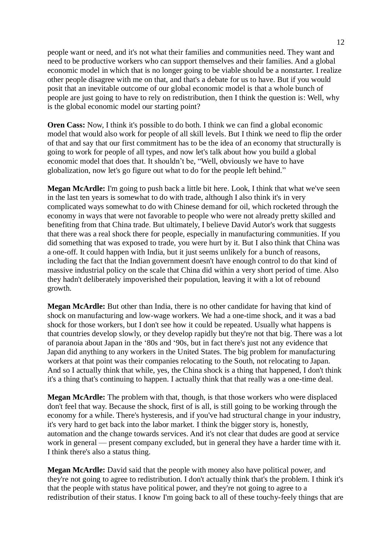people want or need, and it's not what their families and communities need. They want and need to be productive workers who can support themselves and their families. And a global economic model in which that is no longer going to be viable should be a nonstarter. I realize other people disagree with me on that, and that's a debate for us to have. But if you would posit that an inevitable outcome of our global economic model is that a whole bunch of people are just going to have to rely on redistribution, then I think the question is: Well, why is the global economic model our starting point?

**Oren Cass:** Now, I think it's possible to do both. I think we can find a global economic model that would also work for people of all skill levels. But I think we need to flip the order of that and say that our first commitment has to be the idea of an economy that structurally is going to work for people of all types, and now let's talk about how you build a global economic model that does that. It shouldn't be, "Well, obviously we have to have globalization, now let's go figure out what to do for the people left behind."

**Megan McArdle:** I'm going to push back a little bit here. Look, I think that what we've seen in the last ten years is somewhat to do with trade, although I also think it's in very complicated ways somewhat to do with Chinese demand for oil, which rocketed through the economy in ways that were not favorable to people who were not already pretty skilled and benefiting from that China trade. But ultimately, I believe David Autor's work that suggests that there was a real shock there for people, especially in manufacturing communities. If you did something that was exposed to trade, you were hurt by it. But I also think that China was a one-off. It could happen with India, but it just seems unlikely for a bunch of reasons, including the fact that the Indian government doesn't have enough control to do that kind of massive industrial policy on the scale that China did within a very short period of time. Also they hadn't deliberately impoverished their population, leaving it with a lot of rebound growth.

**Megan McArdle:** But other than India, there is no other candidate for having that kind of shock on manufacturing and low-wage workers. We had a one-time shock, and it was a bad shock for those workers, but I don't see how it could be repeated. Usually what happens is that countries develop slowly, or they develop rapidly but they're not that big. There was a lot of paranoia about Japan in the '80s and '90s, but in fact there's just not any evidence that Japan did anything to any workers in the United States. The big problem for manufacturing workers at that point was their companies relocating to the South, not relocating to Japan. And so I actually think that while, yes, the China shock is a thing that happened, I don't think it's a thing that's continuing to happen. I actually think that that really was a one-time deal.

**Megan McArdle:** The problem with that, though, is that those workers who were displaced don't feel that way. Because the shock, first of is all, is still going to be working through the economy for a while. There's hysteresis, and if you've had structural change in your industry, it's very hard to get back into the labor market. I think the bigger story is, honestly, automation and the change towards services. And it's not clear that dudes are good at service work in general — present company excluded, but in general they have a harder time with it. I think there's also a status thing.

**Megan McArdle:** David said that the people with money also have political power, and they're not going to agree to redistribution. I don't actually think that's the problem. I think it's that the people with status have political power, and they're not going to agree to a redistribution of their status. I know I'm going back to all of these touchy-feely things that are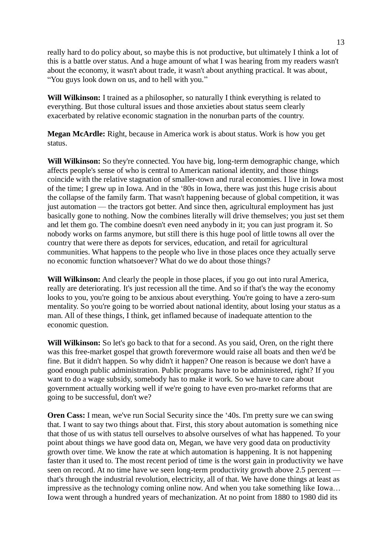really hard to do policy about, so maybe this is not productive, but ultimately I think a lot of this is a battle over status. And a huge amount of what I was hearing from my readers wasn't about the economy, it wasn't about trade, it wasn't about anything practical. It was about, "You guys look down on us, and to hell with you."

**Will Wilkinson:** I trained as a philosopher, so naturally I think everything is related to everything. But those cultural issues and those anxieties about status seem clearly exacerbated by relative economic stagnation in the nonurban parts of the country.

**Megan McArdle:** Right, because in America work is about status. Work is how you get status.

**Will Wilkinson:** So they're connected. You have big, long-term demographic change, which affects people's sense of who is central to American national identity, and those things coincide with the relative stagnation of smaller-town and rural economies. I live in Iowa most of the time; I grew up in Iowa. And in the '80s in Iowa, there was just this huge crisis about the collapse of the family farm. That wasn't happening because of global competition, it was just automation — the tractors got better. And since then, agricultural employment has just basically gone to nothing. Now the combines literally will drive themselves; you just set them and let them go. The combine doesn't even need anybody in it; you can just program it. So nobody works on farms anymore, but still there is this huge pool of little towns all over the country that were there as depots for services, education, and retail for agricultural communities. What happens to the people who live in those places once they actually serve no economic function whatsoever? What do we do about those things?

**Will Wilkinson:** And clearly the people in those places, if you go out into rural America, really are deteriorating. It's just recession all the time. And so if that's the way the economy looks to you, you're going to be anxious about everything. You're going to have a zero-sum mentality. So you're going to be worried about national identity, about losing your status as a man. All of these things, I think, get inflamed because of inadequate attention to the economic question.

**Will Wilkinson:** So let's go back to that for a second. As you said, Oren, on the right there was this free-market gospel that growth forevermore would raise all boats and then we'd be fine. But it didn't happen. So why didn't it happen? One reason is because we don't have a good enough public administration. Public programs have to be administered, right? If you want to do a wage subsidy, somebody has to make it work. So we have to care about government actually working well if we're going to have even pro-market reforms that are going to be successful, don't we?

**Oren Cass:** I mean, we've run Social Security since the '40s. I'm pretty sure we can swing that. I want to say two things about that. First, this story about automation is something nice that those of us with status tell ourselves to absolve ourselves of what has happened. To your point about things we have good data on, Megan, we have very good data on productivity growth over time. We know the rate at which automation is happening. It is not happening faster than it used to. The most recent period of time is the worst gain in productivity we have seen on record. At no time have we seen long-term productivity growth above 2.5 percent that's through the industrial revolution, electricity, all of that. We have done things at least as impressive as the technology coming online now. And when you take something like Iowa… Iowa went through a hundred years of mechanization. At no point from 1880 to 1980 did its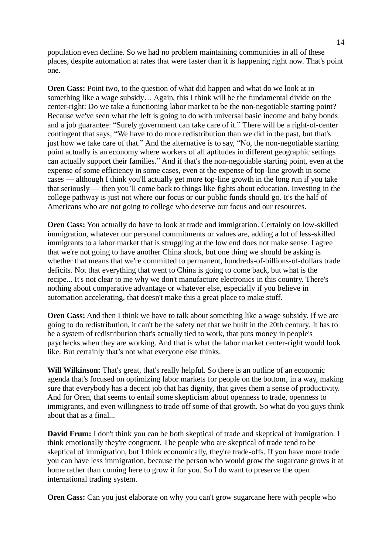population even decline. So we had no problem maintaining communities in all of these places, despite automation at rates that were faster than it is happening right now. That's point one.

**Oren Cass:** Point two, to the question of what did happen and what do we look at in something like a wage subsidy… Again, this I think will be the fundamental divide on the center-right: Do we take a functioning labor market to be the non-negotiable starting point? Because we've seen what the left is going to do with universal basic income and baby bonds and a job guarantee: "Surely government can take care of it." There will be a right-of-center contingent that says, "We have to do more redistribution than we did in the past, but that's just how we take care of that." And the alternative is to say, "No, the non-negotiable starting point actually is an economy where workers of all aptitudes in different geographic settings can actually support their families." And if that's the non-negotiable starting point, even at the expense of some efficiency in some cases, even at the expense of top-line growth in some cases — although I think you'll actually get more top-line growth in the long run if you take that seriously — then you'll come back to things like fights about education. Investing in the college pathway is just not where our focus or our public funds should go. It's the half of Americans who are not going to college who deserve our focus and our resources.

**Oren Cass:** You actually do have to look at trade and immigration. Certainly on low-skilled immigration, whatever our personal commitments or values are, adding a lot of less-skilled immigrants to a labor market that is struggling at the low end does not make sense. I agree that we're not going to have another China shock, but one thing we should be asking is whether that means that we're committed to permanent, hundreds-of-billions-of-dollars trade deficits. Not that everything that went to China is going to come back, but what is the recipe... It's not clear to me why we don't manufacture electronics in this country. There's nothing about comparative advantage or whatever else, especially if you believe in automation accelerating, that doesn't make this a great place to make stuff.

**Oren Cass:** And then I think we have to talk about something like a wage subsidy. If we are going to do redistribution, it can't be the safety net that we built in the 20th century. It has to be a system of redistribution that's actually tied to work, that puts money in people's paychecks when they are working. And that is what the labor market center-right would look like. But certainly that's not what everyone else thinks.

**Will Wilkinson:** That's great, that's really helpful. So there is an outline of an economic agenda that's focused on optimizing labor markets for people on the bottom, in a way, making sure that everybody has a decent job that has dignity, that gives them a sense of productivity. And for Oren, that seems to entail some skepticism about openness to trade, openness to immigrants, and even willingness to trade off some of that growth. So what do you guys think about that as a final.

**David Frum:** I don't think you can be both skeptical of trade and skeptical of immigration. I think emotionally they're congruent. The people who are skeptical of trade tend to be skeptical of immigration, but I think economically, they're trade-offs. If you have more trade you can have less immigration, because the person who would grow the sugarcane grows it at home rather than coming here to grow it for you. So I do want to preserve the open international trading system.

**Oren Cass:** Can you just elaborate on why you can't grow sugarcane here with people who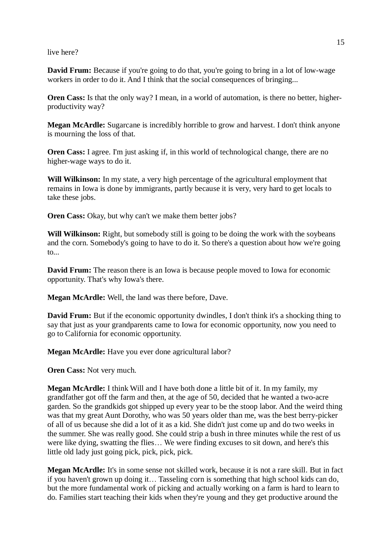live here?

**David Frum:** Because if you're going to do that, you're going to bring in a lot of low-wage workers in order to do it. And I think that the social consequences of bringing...

**Oren Cass:** Is that the only way? I mean, in a world of automation, is there no better, higherproductivity way?

**Megan McArdle:** Sugarcane is incredibly horrible to grow and harvest. I don't think anyone is mourning the loss of that.

**Oren Cass:** I agree. I'm just asking if, in this world of technological change, there are no higher-wage ways to do it.

**Will Wilkinson:** In my state, a very high percentage of the agricultural employment that remains in Iowa is done by immigrants, partly because it is very, very hard to get locals to take these jobs.

**Oren Cass:** Okay, but why can't we make them better jobs?

Will Wilkinson: Right, but somebody still is going to be doing the work with the soybeans and the corn. Somebody's going to have to do it. So there's a question about how we're going to...

**David Frum:** The reason there is an Iowa is because people moved to Iowa for economic opportunity. That's why Iowa's there.

**Megan McArdle:** Well, the land was there before, Dave.

**David Frum:** But if the economic opportunity dwindles, I don't think it's a shocking thing to say that just as your grandparents came to Iowa for economic opportunity, now you need to go to California for economic opportunity.

**Megan McArdle:** Have you ever done agricultural labor?

**Oren Cass:** Not very much.

**Megan McArdle:** I think Will and I have both done a little bit of it. In my family, my grandfather got off the farm and then, at the age of 50, decided that he wanted a two-acre garden. So the grandkids got shipped up every year to be the stoop labor. And the weird thing was that my great Aunt Dorothy, who was 50 years older than me, was the best berry-picker of all of us because she did a lot of it as a kid. She didn't just come up and do two weeks in the summer. She was really good. She could strip a bush in three minutes while the rest of us were like dying, swatting the flies… We were finding excuses to sit down, and here's this little old lady just going pick, pick, pick, pick.

**Megan McArdle:** It's in some sense not skilled work, because it is not a rare skill. But in fact if you haven't grown up doing it… Tasseling corn is something that high school kids can do, but the more fundamental work of picking and actually working on a farm is hard to learn to do. Families start teaching their kids when they're young and they get productive around the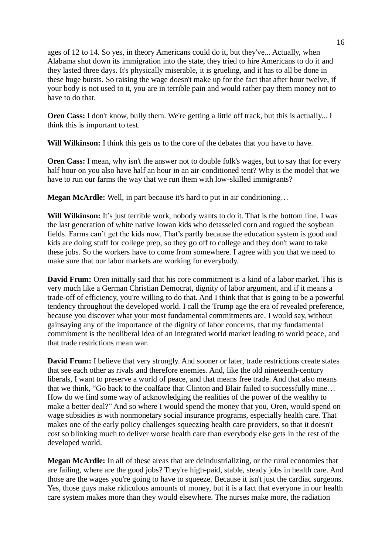ages of 12 to 14. So yes, in theory Americans could do it, but they've... Actually, when Alabama shut down its immigration into the state, they tried to hire Americans to do it and they lasted three days. It's physically miserable, it is grueling, and it has to all be done in these huge bursts. So raising the wage doesn't make up for the fact that after hour twelve, if your body is not used to it, you are in terrible pain and would rather pay them money not to have to do that.

**Oren Cass:** I don't know, bully them. We're getting a little off track, but this is actually... I think this is important to test.

**Will Wilkinson:** I think this gets us to the core of the debates that you have to have.

**Oren Cass:** I mean, why isn't the answer not to double folk's wages, but to say that for every half hour on you also have half an hour in an air-conditioned tent? Why is the model that we have to run our farms the way that we run them with low-skilled immigrants?

**Megan McArdle:** Well, in part because it's hard to put in air conditioning…

**Will Wilkinson:** It's just terrible work, nobody wants to do it. That is the bottom line. I was the last generation of white native Iowan kids who detasseled corn and rogued the soybean fields. Farms can't get the kids now. That's partly because the education system is good and kids are doing stuff for college prep, so they go off to college and they don't want to take these jobs. So the workers have to come from somewhere. I agree with you that we need to make sure that our labor markets are working for everybody.

**David Frum:** Oren initially said that his core commitment is a kind of a labor market. This is very much like a German Christian Democrat, dignity of labor argument, and if it means a trade-off of efficiency, you're willing to do that. And I think that that is going to be a powerful tendency throughout the developed world. I call the Trump age the era of revealed preference, because you discover what your most fundamental commitments are. I would say, without gainsaying any of the importance of the dignity of labor concerns, that my fundamental commitment is the neoliberal idea of an integrated world market leading to world peace, and that trade restrictions mean war.

**David Frum:** I believe that very strongly. And sooner or later, trade restrictions create states that see each other as rivals and therefore enemies. And, like the old nineteenth-century liberals, I want to preserve a world of peace, and that means free trade. And that also means that we think, "Go back to the coalface that Clinton and Blair failed to successfully mine… How do we find some way of acknowledging the realities of the power of the wealthy to make a better deal?" And so where I would spend the money that you, Oren, would spend on wage subsidies is with nonmonetary social insurance programs, especially health care. That makes one of the early policy challenges squeezing health care providers, so that it doesn't cost so blinking much to deliver worse health care than everybody else gets in the rest of the developed world.

**Megan McArdle:** In all of these areas that are deindustrializing, or the rural economies that are failing, where are the good jobs? They're high-paid, stable, steady jobs in health care. And those are the wages you're going to have to squeeze. Because it isn't just the cardiac surgeons. Yes, those guys make ridiculous amounts of money, but it is a fact that everyone in our health care system makes more than they would elsewhere. The nurses make more, the radiation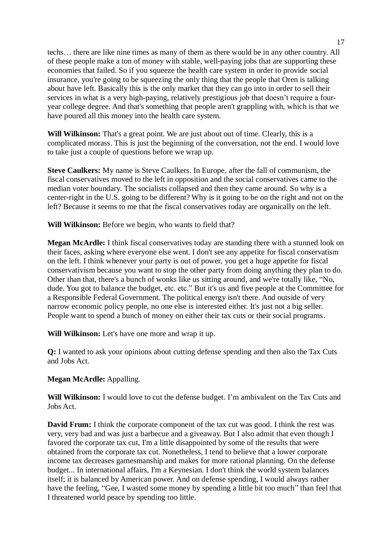techs… there are like nine times as many of them as there would be in any other country. All of these people make a ton of money with stable, well-paying jobs that are supporting these economies that failed. So if you squeeze the health care system in order to provide social insurance, you're going to be squeezing the only thing that the people that Oren is talking about have left. Basically this is the only market that they can go into in order to sell their services in what is a very high-paying, relatively prestigious job that doesn't require a fouryear college degree. And that's something that people aren't grappling with, which is that we have poured all this money into the health care system.

**Will Wilkinson:** That's a great point. We are just about out of time. Clearly, this is a complicated morass. This is just the beginning of the conversation, not the end. I would love to take just a couple of questions before we wrap up.

**Steve Caulkers:** My name is Steve Caulkers. In Europe, after the fall of communism, the fiscal conservatives moved to the left in opposition and the social conservatives came to the median voter boundary. The socialists collapsed and then they came around. So why is a center-right in the U.S. going to be different? Why is it going to be on the right and not on the left? Because it seems to me that the fiscal conservatives today are organically on the left.

**Will Wilkinson:** Before we begin, who wants to field that?

**Megan McArdle:** I think fiscal conservatives today are standing there with a stunned look on their faces, asking where everyone else went. I don't see any appetite for fiscal conservatism on the left. I think whenever your party is out of power, you get a huge appetite for fiscal conservativism because you want to stop the other party from doing anything they plan to do. Other than that, there's a bunch of wonks like us sitting around, and we're totally like, "No, dude. You got to balance the budget, etc. etc." But it's us and five people at the Committee for a Responsible Federal Government. The political energy isn't there. And outside of very narrow economic policy people, no one else is interested either. It's just not a big seller. People want to spend a bunch of money on either their tax cuts or their social programs.

**Will Wilkinson:** Let's have one more and wrap it up.

**Q:** I wanted to ask your opinions about cutting defense spending and then also the Tax Cuts and Jobs Act.

**Megan McArdle:** Appalling.

**Will Wilkinson:** I would love to cut the defense budget. I'm ambivalent on the Tax Cuts and Jobs Act.

**David Frum:** I think the corporate component of the tax cut was good. I think the rest was very, very bad and was just a barbecue and a giveaway. But I also admit that even though I favored the corporate tax cut, I'm a little disappointed by some of the results that were obtained from the corporate tax cut. Nonetheless, I tend to believe that a lower corporate income tax decreases gamesmanship and makes for more rational planning. On the defense budget... In international affairs, I'm a Keynesian. I don't think the world system balances itself; it is balanced by American power. And on defense spending, I would always rather have the feeling, "Gee, I wasted some money by spending a little bit too much" than feel that I threatened world peace by spending too little.